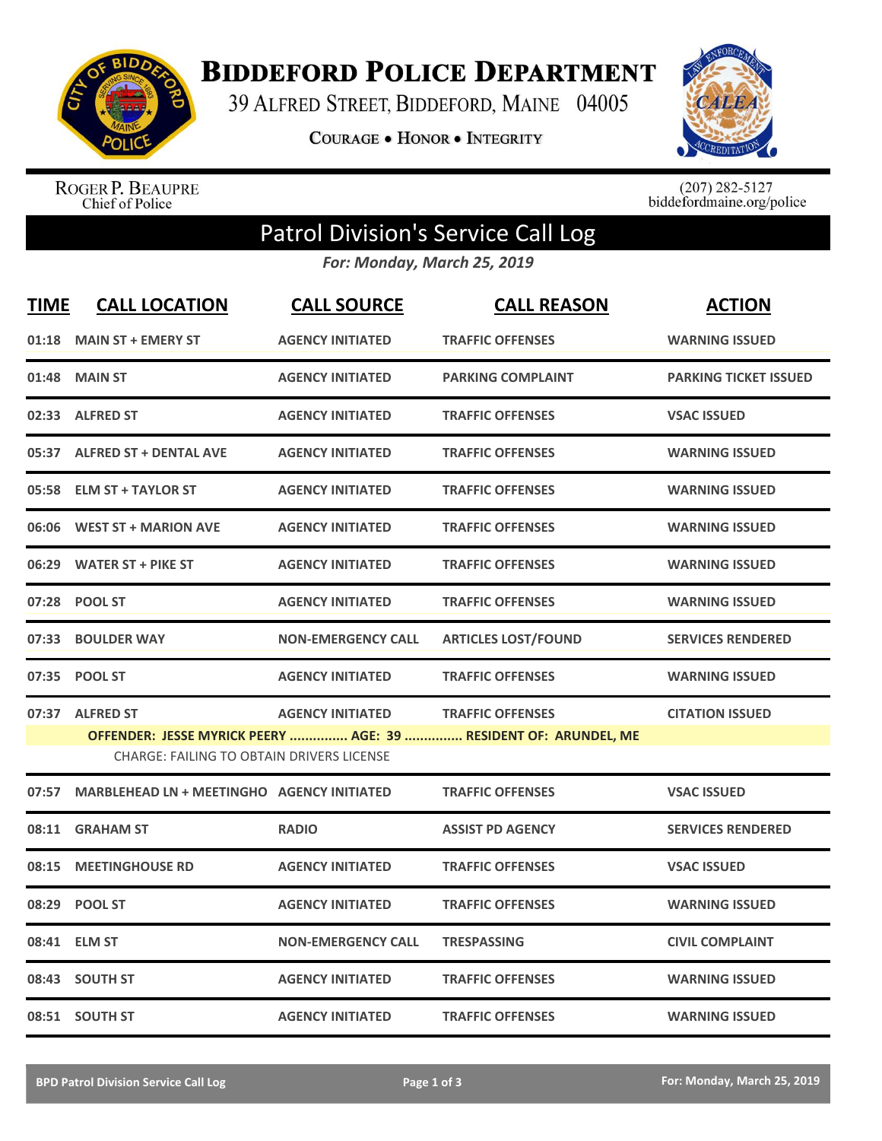

**BIDDEFORD POLICE DEPARTMENT** 

39 ALFRED STREET, BIDDEFORD, MAINE 04005

**COURAGE . HONOR . INTEGRITY** 



ROGER P. BEAUPRE<br>Chief of Police

 $(207)$  282-5127<br>biddefordmaine.org/police

## Patrol Division's Service Call Log

*For: Monday, March 25, 2019*

| <b>TIME</b> | <b>CALL LOCATION</b>                              | <b>CALL SOURCE</b>        | <b>CALL REASON</b>                                              | <b>ACTION</b>                |
|-------------|---------------------------------------------------|---------------------------|-----------------------------------------------------------------|------------------------------|
| 01:18       | <b>MAIN ST + EMERY ST</b>                         | <b>AGENCY INITIATED</b>   | <b>TRAFFIC OFFENSES</b>                                         | <b>WARNING ISSUED</b>        |
|             | 01:48 MAIN ST                                     | <b>AGENCY INITIATED</b>   | <b>PARKING COMPLAINT</b>                                        | <b>PARKING TICKET ISSUED</b> |
|             | 02:33 ALFRED ST                                   | <b>AGENCY INITIATED</b>   | <b>TRAFFIC OFFENSES</b>                                         | <b>VSAC ISSUED</b>           |
|             | 05:37 ALFRED ST + DENTAL AVE                      | <b>AGENCY INITIATED</b>   | <b>TRAFFIC OFFENSES</b>                                         | <b>WARNING ISSUED</b>        |
|             | 05:58 ELM ST + TAYLOR ST                          | <b>AGENCY INITIATED</b>   | <b>TRAFFIC OFFENSES</b>                                         | <b>WARNING ISSUED</b>        |
|             | 06:06 WEST ST + MARION AVE                        | <b>AGENCY INITIATED</b>   | <b>TRAFFIC OFFENSES</b>                                         | <b>WARNING ISSUED</b>        |
|             | 06:29 WATER ST + PIKE ST                          | <b>AGENCY INITIATED</b>   | <b>TRAFFIC OFFENSES</b>                                         | <b>WARNING ISSUED</b>        |
|             | 07:28 POOL ST                                     | <b>AGENCY INITIATED</b>   | <b>TRAFFIC OFFENSES</b>                                         | <b>WARNING ISSUED</b>        |
| 07:33       | <b>BOULDER WAY</b>                                | <b>NON-EMERGENCY CALL</b> | <b>ARTICLES LOST/FOUND</b>                                      | <b>SERVICES RENDERED</b>     |
| 07:35       | <b>POOL ST</b>                                    | <b>AGENCY INITIATED</b>   | <b>TRAFFIC OFFENSES</b>                                         | <b>WARNING ISSUED</b>        |
|             | 07:37 ALFRED ST                                   | <b>AGENCY INITIATED</b>   | <b>TRAFFIC OFFENSES</b>                                         | <b>CITATION ISSUED</b>       |
|             | <b>CHARGE: FAILING TO OBTAIN DRIVERS LICENSE</b>  |                           | OFFENDER: JESSE MYRICK PEERY  AGE: 39  RESIDENT OF: ARUNDEL, ME |                              |
| 07:57       | <b>MARBLEHEAD LN + MEETINGHO AGENCY INITIATED</b> |                           | <b>TRAFFIC OFFENSES</b>                                         | <b>VSAC ISSUED</b>           |
|             | 08:11 GRAHAM ST                                   | <b>RADIO</b>              | <b>ASSIST PD AGENCY</b>                                         | <b>SERVICES RENDERED</b>     |
| 08:15       | <b>MEETINGHOUSE RD</b>                            | <b>AGENCY INITIATED</b>   | <b>TRAFFIC OFFENSES</b>                                         | <b>VSAC ISSUED</b>           |
| 08:29       | <b>POOL ST</b>                                    | <b>AGENCY INITIATED</b>   | <b>TRAFFIC OFFENSES</b>                                         | <b>WARNING ISSUED</b>        |
|             | 08:41 ELM ST                                      | <b>NON-EMERGENCY CALL</b> | <b>TRESPASSING</b>                                              | <b>CIVIL COMPLAINT</b>       |
| 08:43       | <b>SOUTH ST</b>                                   | <b>AGENCY INITIATED</b>   | <b>TRAFFIC OFFENSES</b>                                         | <b>WARNING ISSUED</b>        |
|             | 08:51 SOUTH ST                                    | <b>AGENCY INITIATED</b>   | <b>TRAFFIC OFFENSES</b>                                         | <b>WARNING ISSUED</b>        |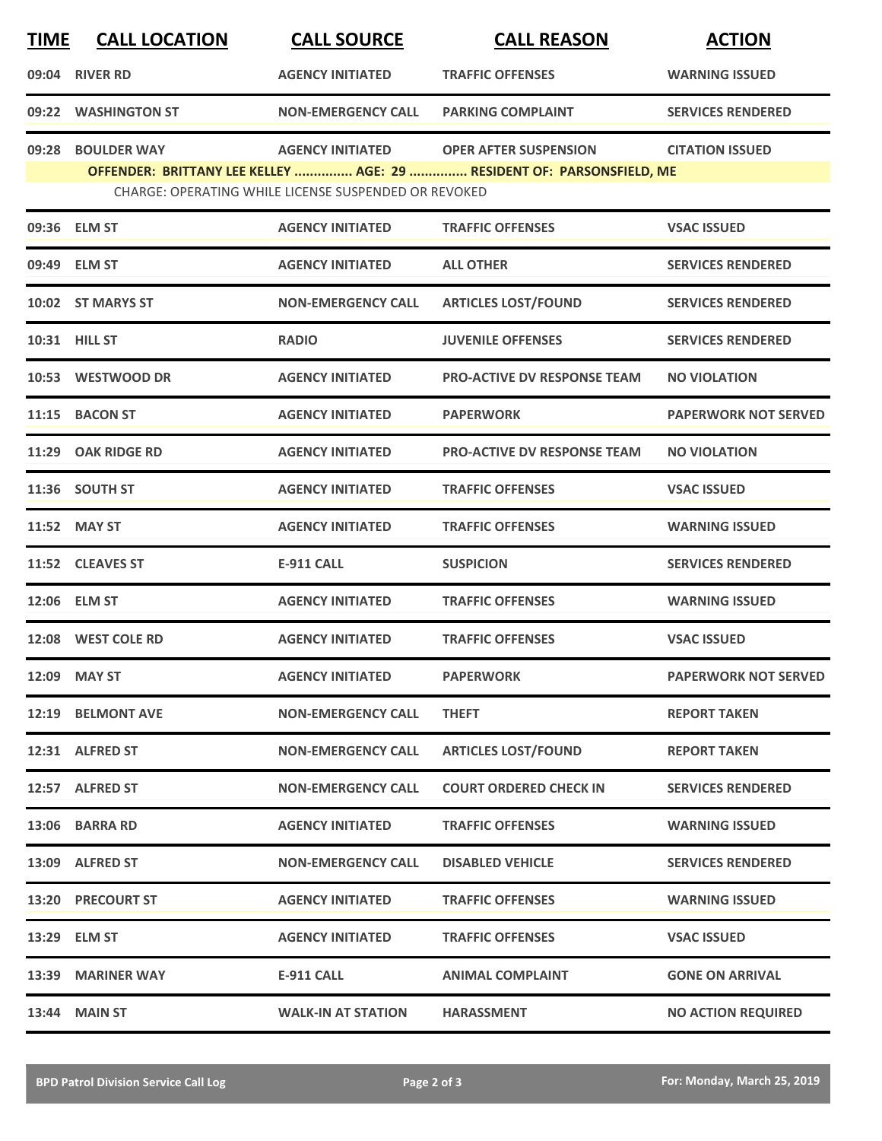| <b>TIME</b> | <b>CALL LOCATION</b> | <b>CALL SOURCE</b>                                          | <b>CALL REASON</b>                                                    | <b>ACTION</b>               |
|-------------|----------------------|-------------------------------------------------------------|-----------------------------------------------------------------------|-----------------------------|
|             | 09:04 RIVER RD       | <b>AGENCY INITIATED</b>                                     | <b>TRAFFIC OFFENSES</b>                                               | <b>WARNING ISSUED</b>       |
|             | 09:22 WASHINGTON ST  | <b>NON-EMERGENCY CALL</b>                                   | <b>PARKING COMPLAINT</b>                                              | <b>SERVICES RENDERED</b>    |
| 09:28       | <b>BOULDER WAY</b>   | <b>AGENCY INITIATED</b>                                     | <b>OPER AFTER SUSPENSION</b>                                          | <b>CITATION ISSUED</b>      |
|             |                      | <b>CHARGE: OPERATING WHILE LICENSE SUSPENDED OR REVOKED</b> | OFFENDER: BRITTANY LEE KELLEY  AGE: 29  RESIDENT OF: PARSONSFIELD, ME |                             |
|             | 09:36 ELM ST         | <b>AGENCY INITIATED</b>                                     | <b>TRAFFIC OFFENSES</b>                                               | <b>VSAC ISSUED</b>          |
|             | 09:49 ELM ST         | <b>AGENCY INITIATED</b>                                     | <b>ALL OTHER</b>                                                      | <b>SERVICES RENDERED</b>    |
|             | 10:02 ST MARYS ST    | <b>NON-EMERGENCY CALL</b>                                   | <b>ARTICLES LOST/FOUND</b>                                            | <b>SERVICES RENDERED</b>    |
|             | 10:31 HILL ST        | <b>RADIO</b>                                                | <b>JUVENILE OFFENSES</b>                                              | <b>SERVICES RENDERED</b>    |
|             | 10:53 WESTWOOD DR    | <b>AGENCY INITIATED</b>                                     | <b>PRO-ACTIVE DV RESPONSE TEAM</b>                                    | <b>NO VIOLATION</b>         |
|             | 11:15 BACON ST       | <b>AGENCY INITIATED</b>                                     | <b>PAPERWORK</b>                                                      | <b>PAPERWORK NOT SERVED</b> |
|             | 11:29 OAK RIDGE RD   | <b>AGENCY INITIATED</b>                                     | <b>PRO-ACTIVE DV RESPONSE TEAM</b>                                    | <b>NO VIOLATION</b>         |
|             | 11:36 SOUTH ST       | <b>AGENCY INITIATED</b>                                     | <b>TRAFFIC OFFENSES</b>                                               | <b>VSAC ISSUED</b>          |
|             | 11:52 MAY ST         | <b>AGENCY INITIATED</b>                                     | <b>TRAFFIC OFFENSES</b>                                               | <b>WARNING ISSUED</b>       |
|             | 11:52 CLEAVES ST     | <b>E-911 CALL</b>                                           | <b>SUSPICION</b>                                                      | <b>SERVICES RENDERED</b>    |
|             | 12:06 ELM ST         | <b>AGENCY INITIATED</b>                                     | <b>TRAFFIC OFFENSES</b>                                               | <b>WARNING ISSUED</b>       |
|             | 12:08 WEST COLE RD   | <b>AGENCY INITIATED</b>                                     | <b>TRAFFIC OFFENSES</b>                                               | <b>VSAC ISSUED</b>          |
|             | 12:09 MAY ST         | <b>AGENCY INITIATED</b>                                     | <b>PAPERWORK</b>                                                      | <b>PAPERWORK NOT SERVED</b> |
|             | 12:19 BELMONT AVE    | <b>NON-EMERGENCY CALL</b>                                   | <b>THEFT</b>                                                          | <b>REPORT TAKEN</b>         |
|             | 12:31 ALFRED ST      | <b>NON-EMERGENCY CALL</b>                                   | <b>ARTICLES LOST/FOUND</b>                                            | <b>REPORT TAKEN</b>         |
|             | 12:57 ALFRED ST      | <b>NON-EMERGENCY CALL</b>                                   | <b>COURT ORDERED CHECK IN</b>                                         | <b>SERVICES RENDERED</b>    |
|             | 13:06 BARRA RD       | <b>AGENCY INITIATED</b>                                     | <b>TRAFFIC OFFENSES</b>                                               | <b>WARNING ISSUED</b>       |
|             | 13:09 ALFRED ST      | <b>NON-EMERGENCY CALL</b>                                   | <b>DISABLED VEHICLE</b>                                               | <b>SERVICES RENDERED</b>    |
|             | 13:20 PRECOURT ST    | <b>AGENCY INITIATED</b>                                     | <b>TRAFFIC OFFENSES</b>                                               | <b>WARNING ISSUED</b>       |
|             | 13:29 ELM ST         | <b>AGENCY INITIATED</b>                                     | <b>TRAFFIC OFFENSES</b>                                               | <b>VSAC ISSUED</b>          |
|             | 13:39 MARINER WAY    | <b>E-911 CALL</b>                                           | <b>ANIMAL COMPLAINT</b>                                               | <b>GONE ON ARRIVAL</b>      |
|             | 13:44 MAIN ST        | <b>WALK-IN AT STATION</b>                                   | <b>HARASSMENT</b>                                                     | <b>NO ACTION REQUIRED</b>   |